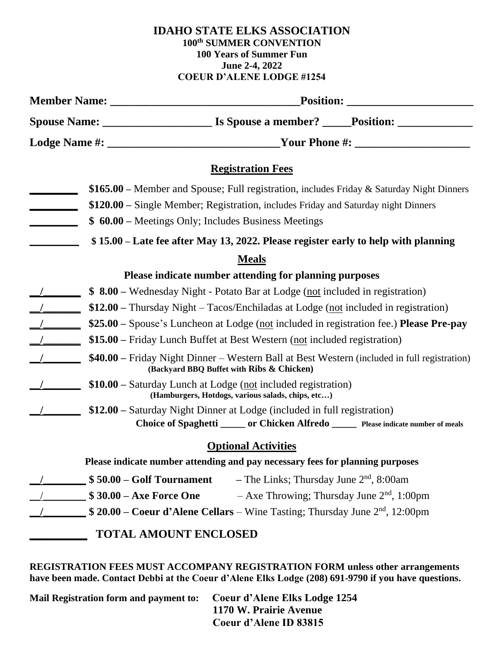#### **IDAHO STATE ELKS ASSOCIATION 100th SUMMER CONVENTION 100 Years of Summer Fun June 2-4, 2022 COEUR D'ALENE LODGE #1254**

|                                                                                    | <b>Registration Fees</b>                                                                                                                  |  |  |
|------------------------------------------------------------------------------------|-------------------------------------------------------------------------------------------------------------------------------------------|--|--|
|                                                                                    | \$165.00 – Member and Spouse; Full registration, includes Friday & Saturday Night Dinners                                                 |  |  |
|                                                                                    | \$120.00 – Single Member; Registration, includes Friday and Saturday night Dinners                                                        |  |  |
|                                                                                    | \$ 60.00 – Meetings Only; Includes Business Meetings                                                                                      |  |  |
| \$15.00 – Late fee after May 13, 2022. Please register early to help with planning |                                                                                                                                           |  |  |
| <b>Meals</b>                                                                       |                                                                                                                                           |  |  |
|                                                                                    | Please indicate number attending for planning purposes                                                                                    |  |  |
|                                                                                    | \$ 8.00 – Wednesday Night - Potato Bar at Lodge (not included in registration)                                                            |  |  |
|                                                                                    | \$12.00 – Thursday Night – Tacos/Enchiladas at Lodge (not included in registration)                                                       |  |  |
|                                                                                    | \$25.00 - Spouse's Luncheon at Lodge (not included in registration fee.) Please Pre-pay                                                   |  |  |
|                                                                                    | \$15.00 – Friday Lunch Buffet at Best Western (not included registration)                                                                 |  |  |
|                                                                                    | \$40.00 – Friday Night Dinner – Western Ball at Best Western (included in full registration)<br>(Backyard BBQ Buffet with Ribs & Chicken) |  |  |
|                                                                                    | \$10.00 - Saturday Lunch at Lodge (not included registration)<br>(Hamburgers, Hotdogs, various salads, chips, etc)                        |  |  |
|                                                                                    | \$12.00 – Saturday Night Dinner at Lodge (included in full registration)                                                                  |  |  |
|                                                                                    | Choice of Spaghetti _____ or Chicken Alfredo _____ Please indicate number of meals                                                        |  |  |
| <b>Optional Activities</b>                                                         |                                                                                                                                           |  |  |
| Please indicate number attending and pay necessary fees for planning purposes      |                                                                                                                                           |  |  |
|                                                                                    | $$50.00 - Golf Tournament$<br>$-$ The Links; Thursday June $2nd$ , 8:00am                                                                 |  |  |
|                                                                                    | \$30.00 - Axe Force One<br>$-$ Axe Throwing; Thursday June $2nd$ , 1:00pm                                                                 |  |  |
|                                                                                    | \$ 20.00 – Coeur d'Alene Cellars – Wine Tasting; Thursday June 2 <sup>nd</sup> , 12:00pm                                                  |  |  |
|                                                                                    | <b>TOTAL AMOUNT ENCLOSED</b>                                                                                                              |  |  |

**REGISTRATION FEES MUST ACCOMPANY REGISTRATION FORM unless other arrangements have been made. Contact Debbi at the Coeur d'Alene Elks Lodge (208) 691-9790 if you have questions.**

**Mail Registration form and payment to: Coeur d'Alene Elks Lodge 1254 1170 W. Prairie Avenue Coeur d'Alene ID 83815**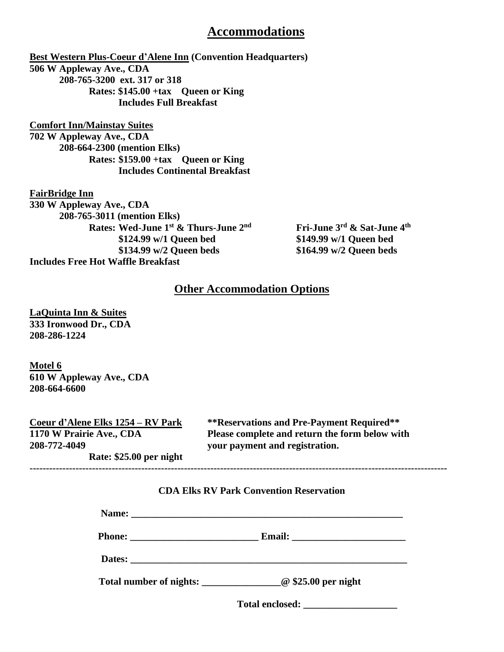### **Accommodations**

**Best Western Plus-Coeur d'Alene Inn (Convention Headquarters) 506 W Appleway Ave., CDA 208-765-3200 ext. 317 or 318 Rates: \$145.00 +tax Queen or King Includes Full Breakfast**

**Comfort Inn/Mainstay Suites 702 W Appleway Ave., CDA 208-664-2300 (mention Elks) Rates: \$159.00 +tax Queen or King Includes Continental Breakfast**

**FairBridge Inn 330 W Appleway Ave., CDA 208-765-3011 (mention Elks) Rates: Wed-June 1st & Thurs-June 2 \$124.99 w/1 Queen bed \$149.99 w/1 Queen bed \$134.99 w/2 Queen beds \$164.99 w/2 Queen beds Includes Free Hot Waffle Breakfast**

**nd Fri-June 3rd & Sat-June 4th**

#### **Other Accommodation Options**

**LaQuinta Inn & Suites 333 Ironwood Dr., CDA 208-286-1224**

**Motel 6 610 W Appleway Ave., CDA 208-664-6600**

| Coeur d'Alene Elks 1254 – RV Park | **Reservations and Pre-Payment Required**      |
|-----------------------------------|------------------------------------------------|
| 1170 W Prairie Ave., CDA          | Please complete and return the form below with |
| 208-772-4049                      | your payment and registration.                 |
| Rate: \$25.00 per night           |                                                |

#### **CDA Elks RV Park Convention Reservation**

**-------------------------------------------------------------------------------------------------------------------------------**

| Total number of nights: <u>come and \$25.00</u> per night |  |
|-----------------------------------------------------------|--|

 $Total enclosed:$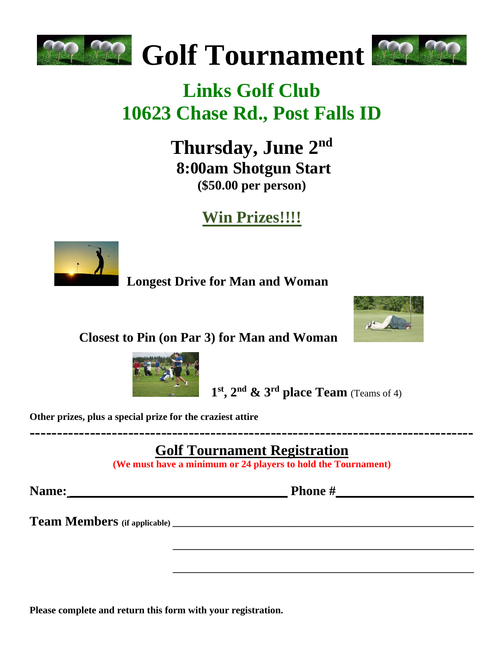



# **Links Golf Club 10623 Chase Rd., Post Falls ID**

**Thursday, June 2nd 8:00am Shotgun Start (\$50.00 per person)**

**Win Prizes!!!!**



 **Longest Drive for Man and Woman**



 **Closest to Pin (on Par 3) for Man and Woman** 



**st , 2 nd & 3rd place Team** (Teams of 4)

**Other prizes, plus a special prize for the craziest attire**

**Golf Tournament Registration**

**(We must have a minimum or 24 players to hold the Tournament)**

**Name: \_\_\_\_\_\_\_\_\_\_\_\_\_\_\_\_\_\_\_\_\_\_\_\_\_\_\_\_\_\_\_\_\_ Phone #\_\_\_\_\_\_\_\_\_\_\_\_\_\_\_\_\_\_\_\_\_**

 **\_\_\_\_\_\_\_\_\_\_\_\_\_\_\_\_\_\_\_\_\_\_\_\_\_\_\_\_\_\_\_\_\_\_\_\_\_\_\_\_\_\_\_\_\_\_\_\_\_\_\_\_\_\_\_\_\_\_\_\_\_**

 **\_\_\_\_\_\_\_\_\_\_\_\_\_\_\_\_\_\_\_\_\_\_\_\_\_\_\_\_\_\_\_\_\_\_\_\_\_\_\_\_\_\_\_\_\_\_\_\_\_\_\_\_\_\_\_\_\_\_\_\_\_**

**---------------------------------------------------------------------------------**

**Team Members** (if applicable)

**Please complete and return this form with your registration.**